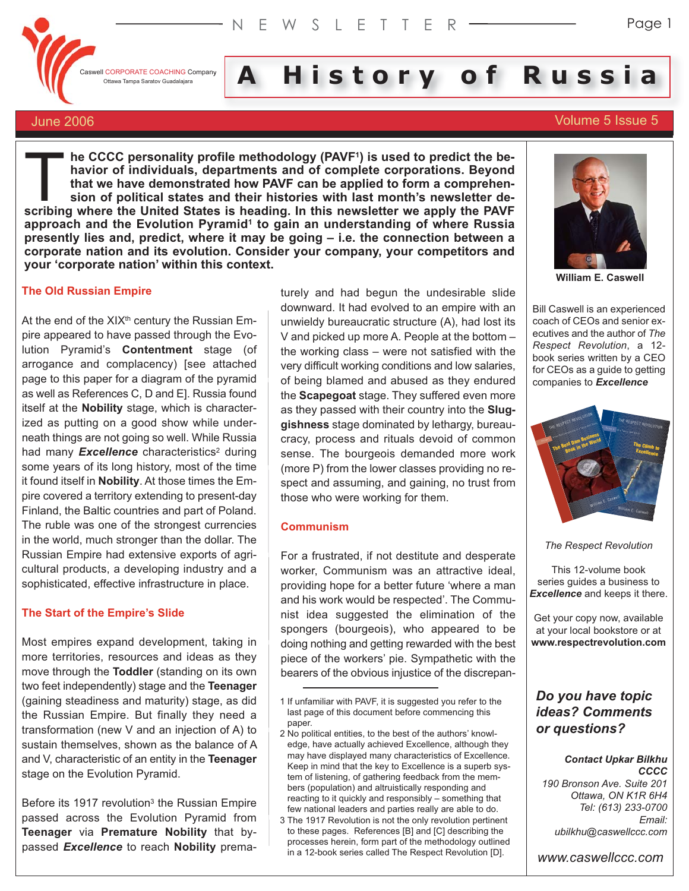

**I** CORPORATE COACHING Company **A** History of Russian and Service of Russian and Service of Russian **and Service Coaching** 

# June 2006 Volume 5 Issue 5

**he CCCC personality profile methodology (PAVF1) is used to predict the behavior of individuals, departments and of complete corporations. Beyond that we have demonstrated how PAVF can be applied to form a comprehension of political states and their histories with last month's newsletter de-Solution 1999 The CCCC personality profile methodology (PAVF<sup>1</sup>) is used to predict the behavior of individuals, departments and of complete corporations. Beyond that we have demonstrated how PAVF can be applied to form a approach and the Evolution Pyramid1 to gain an understanding of where Russia presently lies and, predict, where it may be going – i.e. the connection between a corporate nation and its evolution. Consider your company, your competitors and your 'corporate nation' within this context.**

#### **The Old Russian Empire**

At the end of the  $XIX^h$  century the Russian Empire appeared to have passed through the Evolution Pyramid's **Contentment** stage (of arrogance and complacency) [see attached page to this paper for a diagram of the pyramid as well as References C, D and E]. Russia found itself at the **Nobility** stage, which is characterized as putting on a good show while underneath things are not going so well. While Russia had many **Excellence** characteristics<sup>2</sup> during some years of its long history, most of the time it found itself in **Nobility**. At those times the Empire covered a territory extending to present-day Finland, the Baltic countries and part of Poland. The ruble was one of the strongest currencies in the world, much stronger than the dollar. The Russian Empire had extensive exports of agricultural products, a developing industry and a sophisticated, effective infrastructure in place.

#### **The Start of the Empire's Slide**

Most empires expand development, taking in more territories, resources and ideas as they move through the **Toddler** (standing on its own two feet independently) stage and the **Teenager** (gaining steadiness and maturity) stage, as did the Russian Empire. But finally they need a transformation (new V and an injection of A) to sustain themselves, shown as the balance of A and V, characteristic of an entity in the **Teenager** stage on the Evolution Pyramid.

Before its 1917 revolution<sup>3</sup> the Russian Empire passed across the Evolution Pyramid from **Teenager** via **Premature Nobility** that bypassed *Excellence* to reach **Nobility** prematurely and had begun the undesirable slide downward. It had evolved to an empire with an unwieldy bureaucratic structure (A), had lost its V and picked up more A. People at the bottom – the working class – were not satisfied with the very difficult working conditions and low salaries, of being blamed and abused as they endured the **Scapegoat** stage. They suffered even more as they passed with their country into the **Sluggishness** stage dominated by lethargy, bureaucracy, process and rituals devoid of common sense. The bourgeois demanded more work (more P) from the lower classes providing no respect and assuming, and gaining, no trust from those who were working for them.

#### **Communism**

For a frustrated, if not destitute and desperate worker, Communism was an attractive ideal, providing hope for a better future 'where a man and his work would be respected'. The Communist idea suggested the elimination of the spongers (bourgeois), who appeared to be doing nothing and getting rewarded with the best piece of the workers' pie. Sympathetic with the bearers of the obvious injustice of the discrepan-



**William E. Caswell**

Bill Caswell is an experienced coach of CEOs and senior executives and the author of *The Respect Revolution*, a 12 book series written by a CEO for CEOs as a guide to getting companies to *Excellence*



*The Respect Revolution*

This 12-volume book series guides a business to *Excellence* and keeps it there.

Get your copy now, available at your local bookstore or at **www.respectrevolution.com**

# *Do you have topic ideas? Comments or questions?*

#### *Contact Upkar Bilkhu CCCC*

*190 Bronson Ave. Suite 201 Ottawa, ON K1R 6H4 Tel: (613) 233-0700 Email: ubilkhu@caswellccc.com*

*www.caswellccc.com*

<sup>1</sup> If unfamiliar with PAVF, it is suggested you refer to the last page of this document before commencing this paper.

<sup>2</sup> No political entities, to the best of the authors' knowledge, have actually achieved Excellence, although they may have displayed many characteristics of Excellence. Keep in mind that the key to Excellence is a superb system of listening, of gathering feedback from the members (population) and altruistically responding and reacting to it quickly and responsibly – something that few national leaders and parties really are able to do.

<sup>3</sup> The 1917 Revolution is not the only revolution pertinent to these pages. References [B] and [C] describing the processes herein, form part of the methodology outlined in a 12-book series called The Respect Revolution [D].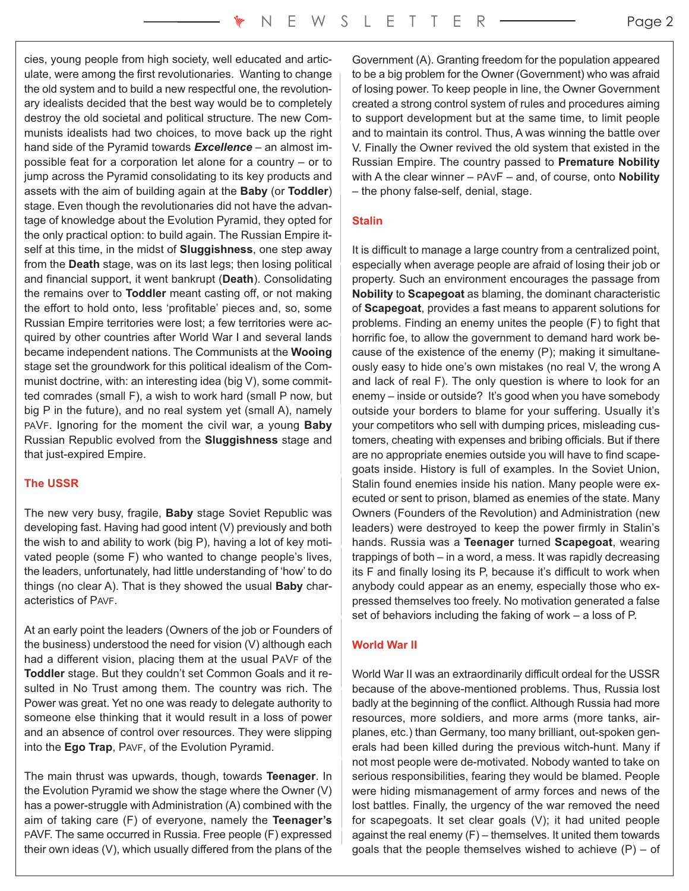cies, young people from high society, well educated and articulate, were among the first revolutionaries. Wanting to change the old system and to build a new respectful one, the revolutionary idealists decided that the best way would be to completely destroy the old societal and political structure. The new Communists idealists had two choices, to move back up the right hand side of the Pyramid towards *Excellence* – an almost impossible feat for a corporation let alone for a country – or to jump across the Pyramid consolidating to its key products and assets with the aim of building again at the **Baby** (or **Toddler**) stage. Even though the revolutionaries did not have the advantage of knowledge about the Evolution Pyramid, they opted for the only practical option: to build again. The Russian Empire itself at this time, in the midst of **Sluggishness**, one step away from the **Death** stage, was on its last legs; then losing political and financial support, it went bankrupt (**Death**). Consolidating the remains over to **Toddler** meant casting off, or not making the effort to hold onto, less 'profitable' pieces and, so, some Russian Empire territories were lost; a few territories were acquired by other countries after World War I and several lands became independent nations. The Communists at the **Wooing** stage set the groundwork for this political idealism of the Communist doctrine, with: an interesting idea (big V), some committed comrades (small F), a wish to work hard (small P now, but big P in the future), and no real system yet (small A), namely PAVF. Ignoring for the moment the civil war, a young **Baby** Russian Republic evolved from the **Sluggishness** stage and that just-expired Empire.

# **The USSR**

The new very busy, fragile, **Baby** stage Soviet Republic was developing fast. Having had good intent (V) previously and both the wish to and ability to work (big P), having a lot of key motivated people (some F) who wanted to change people's lives, the leaders, unfortunately, had little understanding of 'how' to do things (no clear A). That is they showed the usual **Baby** characteristics of PAVF.

At an early point the leaders (Owners of the job or Founders of the business) understood the need for vision (V) although each had a different vision, placing them at the usual PAVF of the **Toddler** stage. But they couldn't set Common Goals and it resulted in No Trust among them. The country was rich. The Power was great. Yet no one was ready to delegate authority to someone else thinking that it would result in a loss of power and an absence of control over resources. They were slipping into the **Ego Trap**, PAVF, of the Evolution Pyramid.

The main thrust was upwards, though, towards **Teenager**. In the Evolution Pyramid we show the stage where the Owner (V) has a power-struggle with Administration (A) combined with the aim of taking care (F) of everyone, namely the **Teenager's** PAVF. The same occurred in Russia. Free people (F) expressed their own ideas (V), which usually differed from the plans of the Government (A). Granting freedom for the population appeared to be a big problem for the Owner (Government) who was afraid of losing power. To keep people in line, the Owner Government created a strong control system of rules and procedures aiming to support development but at the same time, to limit people and to maintain its control. Thus, A was winning the battle over V. Finally the Owner revived the old system that existed in the Russian Empire. The country passed to **Premature Nobility** with A the clear winner – PAVF – and, of course, onto **Nobility** – the phony false-self, denial, stage.

# **Stalin**

It is difficult to manage a large country from a centralized point, especially when average people are afraid of losing their job or property. Such an environment encourages the passage from **Nobility** to **Scapegoat** as blaming, the dominant characteristic of **Scapegoat**, provides a fast means to apparent solutions for problems. Finding an enemy unites the people (F) to fight that horrific foe, to allow the government to demand hard work because of the existence of the enemy (P); making it simultaneously easy to hide one's own mistakes (no real V, the wrong A and lack of real F). The only question is where to look for an enemy – inside or outside? It's good when you have somebody outside your borders to blame for your suffering. Usually it's your competitors who sell with dumping prices, misleading customers, cheating with expenses and bribing officials. But if there are no appropriate enemies outside you will have to find scapegoats inside. History is full of examples. In the Soviet Union, Stalin found enemies inside his nation. Many people were executed or sent to prison, blamed as enemies of the state. Many Owners (Founders of the Revolution) and Administration (new leaders) were destroyed to keep the power firmly in Stalin's hands. Russia was a **Teenager** turned **Scapegoat**, wearing trappings of both – in a word, a mess. It was rapidly decreasing its F and finally losing its P, because it's difficult to work when anybody could appear as an enemy, especially those who expressed themselves too freely. No motivation generated a false set of behaviors including the faking of work – a loss of P.

## **World War II**

World War II was an extraordinarily difficult ordeal for the USSR because of the above-mentioned problems. Thus, Russia lost badly at the beginning of the conflict. Although Russia had more resources, more soldiers, and more arms (more tanks, airplanes, etc.) than Germany, too many brilliant, out-spoken generals had been killed during the previous witch-hunt. Many if not most people were de-motivated. Nobody wanted to take on serious responsibilities, fearing they would be blamed. People were hiding mismanagement of army forces and news of the lost battles. Finally, the urgency of the war removed the need for scapegoats. It set clear goals (V); it had united people against the real enemy (F) – themselves. It united them towards goals that the people themselves wished to achieve  $(P)$  – of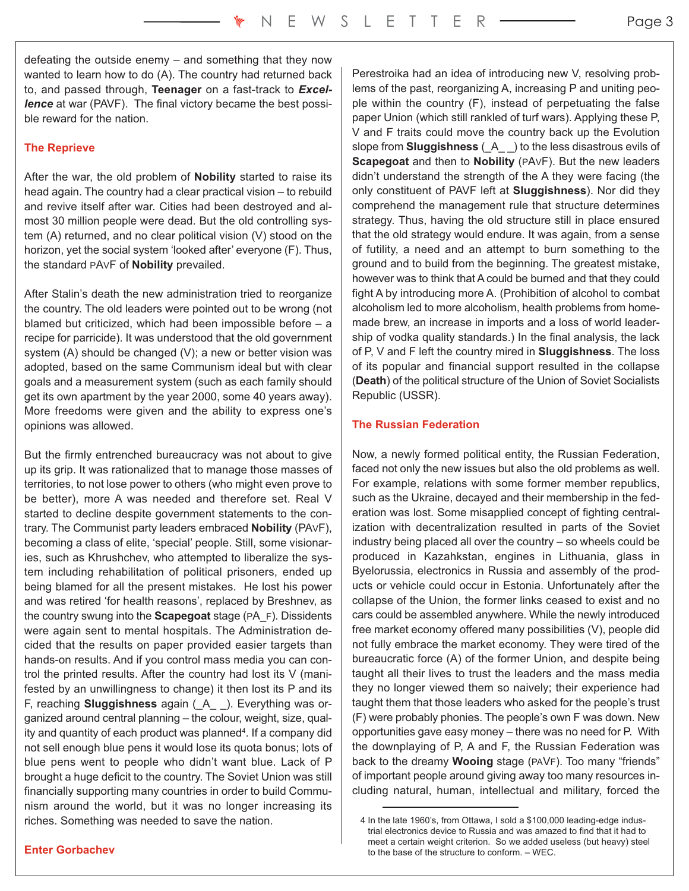defeating the outside enemy – and something that they now wanted to learn how to do (A). The country had returned back to, and passed through, **Teenager** on a fast-track to *Excellence* at war (PAVF). The final victory became the best possible reward for the nation.

#### **The Reprieve**

After the war, the old problem of **Nobility** started to raise its head again. The country had a clear practical vision – to rebuild and revive itself after war. Cities had been destroyed and almost 30 million people were dead. But the old controlling system (A) returned, and no clear political vision (V) stood on the horizon, yet the social system 'looked after' everyone (F). Thus, the standard PAVF of **Nobility** prevailed.

After Stalin's death the new administration tried to reorganize the country. The old leaders were pointed out to be wrong (not blamed but criticized, which had been impossible before – a recipe for parricide). It was understood that the old government system (A) should be changed (V); a new or better vision was adopted, based on the same Communism ideal but with clear goals and a measurement system (such as each family should get its own apartment by the year 2000, some 40 years away). More freedoms were given and the ability to express one's opinions was allowed.

But the firmly entrenched bureaucracy was not about to give up its grip. It was rationalized that to manage those masses of territories, to not lose power to others (who might even prove to be better), more A was needed and therefore set. Real V started to decline despite government statements to the contrary. The Communist party leaders embraced **Nobility** (PAVF), becoming a class of elite, 'special' people. Still, some visionaries, such as Khrushchev, who attempted to liberalize the system including rehabilitation of political prisoners, ended up being blamed for all the present mistakes. He lost his power and was retired 'for health reasons', replaced by Breshnev, as the country swung into the **Scapegoat** stage (PA\_F). Dissidents were again sent to mental hospitals. The Administration decided that the results on paper provided easier targets than hands-on results. And if you control mass media you can control the printed results. After the country had lost its V (manifested by an unwillingness to change) it then lost its P and its F, reaching **Sluggishness** again (\_A\_ \_). Everything was organized around central planning – the colour, weight, size, quality and quantity of each product was planned<sup>4</sup>. If a company did not sell enough blue pens it would lose its quota bonus; lots of blue pens went to people who didn't want blue. Lack of P brought a huge deficit to the country. The Soviet Union was still financially supporting many countries in order to build Communism around the world, but it was no longer increasing its riches. Something was needed to save the nation.

Perestroika had an idea of introducing new V, resolving problems of the past, reorganizing A, increasing P and uniting people within the country (F), instead of perpetuating the false paper Union (which still rankled of turf wars). Applying these P, V and F traits could move the country back up the Evolution slope from **Sluggishness** (\_A\_ \_) to the less disastrous evils of **Scapegoat** and then to **Nobility** (PAVF). But the new leaders didn't understand the strength of the A they were facing (the only constituent of PAVF left at **Sluggishness**). Nor did they comprehend the management rule that structure determines strategy. Thus, having the old structure still in place ensured that the old strategy would endure. It was again, from a sense of futility, a need and an attempt to burn something to the ground and to build from the beginning. The greatest mistake, however was to think that A could be burned and that they could fight A by introducing more A. (Prohibition of alcohol to combat alcoholism led to more alcoholism, health problems from homemade brew, an increase in imports and a loss of world leadership of vodka quality standards.) In the final analysis, the lack of P, V and F left the country mired in **Sluggishness**. The loss of its popular and financial support resulted in the collapse (**Death**) of the political structure of the Union of Soviet Socialists Republic (USSR).

#### **The Russian Federation**

Now, a newly formed political entity, the Russian Federation, faced not only the new issues but also the old problems as well. For example, relations with some former member republics, such as the Ukraine, decayed and their membership in the federation was lost. Some misapplied concept of fighting centralization with decentralization resulted in parts of the Soviet industry being placed all over the country – so wheels could be produced in Kazahkstan, engines in Lithuania, glass in Byelorussia, electronics in Russia and assembly of the products or vehicle could occur in Estonia. Unfortunately after the collapse of the Union, the former links ceased to exist and no cars could be assembled anywhere. While the newly introduced free market economy offered many possibilities (V), people did not fully embrace the market economy. They were tired of the bureaucratic force (A) of the former Union, and despite being taught all their lives to trust the leaders and the mass media they no longer viewed them so naively; their experience had taught them that those leaders who asked for the people's trust (F) were probably phonies. The people's own F was down. New opportunities gave easy money – there was no need for P. With the downplaying of P, A and F, the Russian Federation was back to the dreamy **Wooing** stage (PAVF). Too many "friends" of important people around giving away too many resources including natural, human, intellectual and military, forced the

<sup>4</sup> In the late 1960's, from Ottawa, I sold a \$100,000 leading-edge industrial electronics device to Russia and was amazed to find that it had to meet a certain weight criterion. So we added useless (but heavy) steel to the base of the structure to conform. – WEC.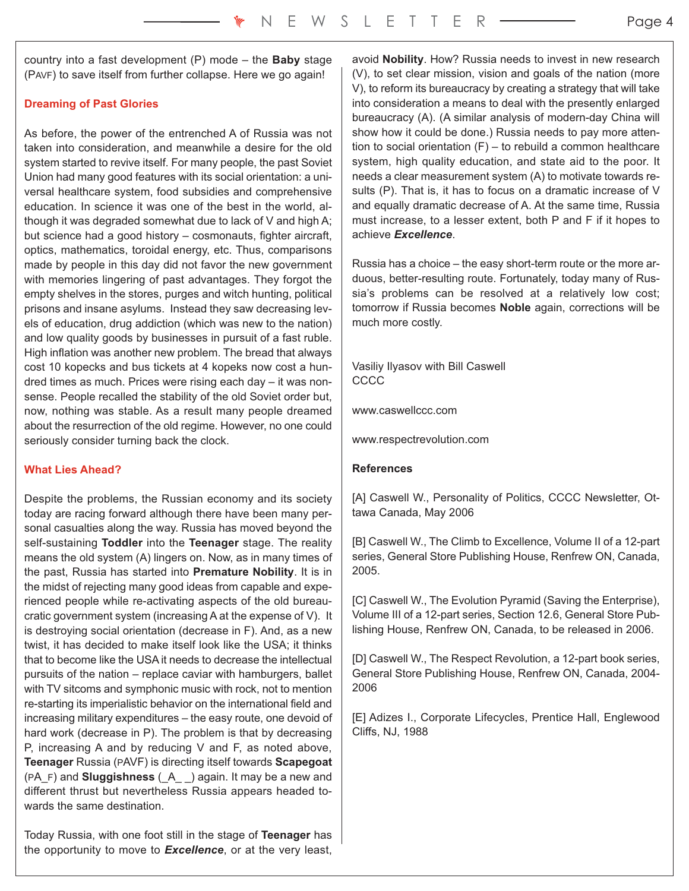country into a fast development (P) mode – the **Baby** stage (PAVF) to save itself from further collapse. Here we go again!

# **Dreaming of Past Glories**

As before, the power of the entrenched A of Russia was not taken into consideration, and meanwhile a desire for the old system started to revive itself. For many people, the past Soviet Union had many good features with its social orientation: a universal healthcare system, food subsidies and comprehensive education. In science it was one of the best in the world, although it was degraded somewhat due to lack of V and high A; but science had a good history – cosmonauts, fighter aircraft, optics, mathematics, toroidal energy, etc. Thus, comparisons made by people in this day did not favor the new government with memories lingering of past advantages. They forgot the empty shelves in the stores, purges and witch hunting, political prisons and insane asylums. Instead they saw decreasing levels of education, drug addiction (which was new to the nation) and low quality goods by businesses in pursuit of a fast ruble. High inflation was another new problem. The bread that always cost 10 kopecks and bus tickets at 4 kopeks now cost a hundred times as much. Prices were rising each day – it was nonsense. People recalled the stability of the old Soviet order but, now, nothing was stable. As a result many people dreamed about the resurrection of the old regime. However, no one could seriously consider turning back the clock.

## **What Lies Ahead?**

Despite the problems, the Russian economy and its society today are racing forward although there have been many personal casualties along the way. Russia has moved beyond the self-sustaining **Toddler** into the **Teenager** stage. The reality means the old system (A) lingers on. Now, as in many times of the past, Russia has started into **Premature Nobility**. It is in the midst of rejecting many good ideas from capable and experienced people while re-activating aspects of the old bureaucratic government system (increasing A at the expense of V). It is destroying social orientation (decrease in F). And, as a new twist, it has decided to make itself look like the USA; it thinks that to become like the USA it needs to decrease the intellectual pursuits of the nation – replace caviar with hamburgers, ballet with TV sitcoms and symphonic music with rock, not to mention re-starting its imperialistic behavior on the international field and increasing military expenditures – the easy route, one devoid of hard work (decrease in P). The problem is that by decreasing P, increasing A and by reducing V and F, as noted above, **Teenager** Russia (PAVF) is directing itself towards **Scapegoat** (PA\_F) and **Sluggishness** (\_A\_ \_) again. It may be a new and different thrust but nevertheless Russia appears headed towards the same destination.

Today Russia, with one foot still in the stage of **Teenager** has the opportunity to move to *Excellence*, or at the very least,

avoid **Nobility**. How? Russia needs to invest in new research (V), to set clear mission, vision and goals of the nation (more V), to reform its bureaucracy by creating a strategy that will take into consideration a means to deal with the presently enlarged bureaucracy (A). (A similar analysis of modern-day China will show how it could be done.) Russia needs to pay more attention to social orientation (F) – to rebuild a common healthcare system, high quality education, and state aid to the poor. It needs a clear measurement system (A) to motivate towards results (P). That is, it has to focus on a dramatic increase of V and equally dramatic decrease of A. At the same time, Russia must increase, to a lesser extent, both P and F if it hopes to achieve *Excellence*.

Russia has a choice – the easy short-term route or the more arduous, better-resulting route. Fortunately, today many of Russia's problems can be resolved at a relatively low cost; tomorrow if Russia becomes **Noble** again, corrections will be much more costly.

Vasiliy Ilyasov with Bill Caswell CCCC

www.caswellccc.com

www.respectrevolution.com

## **References**

[A] Caswell W., Personality of Politics, CCCC Newsletter, Ottawa Canada, May 2006

[B] Caswell W., The Climb to Excellence, Volume II of a 12-part series, General Store Publishing House, Renfrew ON, Canada, 2005.

[C] Caswell W., The Evolution Pyramid (Saving the Enterprise), Volume III of a 12-part series, Section 12.6, General Store Publishing House, Renfrew ON, Canada, to be released in 2006.

[D] Caswell W., The Respect Revolution, a 12-part book series, General Store Publishing House, Renfrew ON, Canada, 2004- 2006

[E] Adizes I., Corporate Lifecycles, Prentice Hall, Englewood Cliffs, NJ, 1988